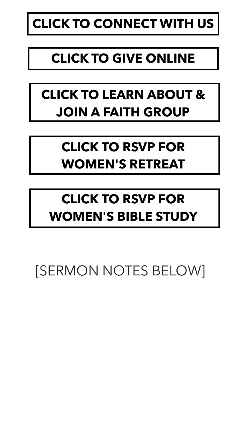# **[CLICK TO CONNECT WITH US](https://myfaithcommunity.churchcenter.com/people/forms/122560)**

### **[CLICK TO GIVE ONLINE](https://myfaithcommunity.churchcenter.com/giving)**

## **[CLICK TO LEARN ABOUT &](https://myfaithcommunity.churchcenter.com/groups/faith-groups)  [JOIN A FAITH GROUP](https://myfaithcommunity.churchcenter.com/groups/faith-groups)**

## **[CLICK TO RSVP FOR](https://myfaithcommunity.churchcenter.com/registrations/events/1143830)  [WOMEN'S RETREAT](https://myfaithcommunity.churchcenter.com/registrations/events/1143830)**

### **[CLICK TO RSVP FOR](https://myfaithcommunity.churchcenter.com/groups/bible-studies/discovering-joy-in-philippians-women-s-study)  [WOMEN'S BIBLE STUDY](https://myfaithcommunity.churchcenter.com/groups/bible-studies/discovering-joy-in-philippians-women-s-study)**

### [SERMON NOTES BELOW]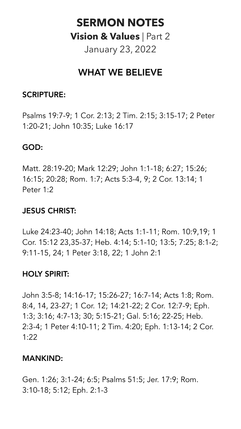### **SERMON NOTES Vision & Values** | Part 2 January 23, 2022

### WHAT WE BELIEVE

#### SCRIPTURE:

Psalms 19:7-9; 1 Cor. 2:13; 2 Tim. 2:15; 3:15-17; 2 Peter 1:20-21; John 10:35; Luke 16:17

#### GOD:

Matt. 28:19-20; Mark 12:29; John 1:1-18; 6:27; 15:26; 16:15; 20:28; Rom. 1:7; Acts 5:3-4, 9; 2 Cor. 13:14; 1 Peter 1:2

#### JESUS CHRIST:

Luke 24:23-40; John 14:18; Acts 1:1-11; Rom. 10:9,19; 1 Cor. 15:12 23,35-37; Heb. 4:14; 5:1-10; 13:5; 7:25; 8:1-2; 9:11-15, 24; 1 Peter 3:18, 22; 1 John 2:1

#### HOLY SPIRIT:

John 3:5-8; 14:16-17; 15:26-27; 16:7-14; Acts 1:8; Rom. 8:4, 14, 23-27; 1 Cor. 12; 14:21-22; 2 Cor. 12:7-9; Eph. 1:3; 3:16; 4:7-13; 30; 5:15-21; Gal. 5:16; 22-25; Heb. 2:3-4; 1 Peter 4:10-11; 2 Tim. 4:20; Eph. 1:13-14; 2 Cor. 1:22

#### MANKIND:

Gen. 1:26; 3:1-24; 6:5; Psalms 51:5; Jer. 17:9; Rom. 3:10-18; 5:12; Eph. 2:1-3